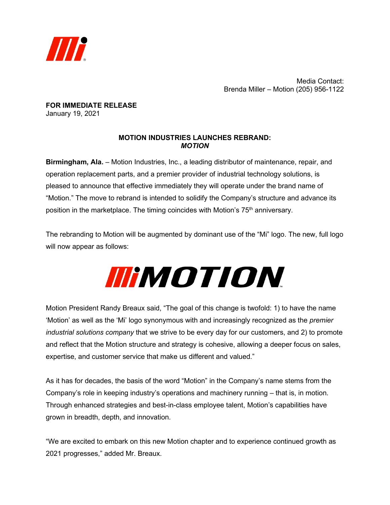

Media Contact: Brenda Miller – Motion (205) 956-1122

**FOR IMMEDIATE RELEASE** January 19, 2021

## **MOTION INDUSTRIES LAUNCHES REBRAND:** *MOTION*

**Birmingham, Ala.** – Motion Industries, Inc., a leading distributor of maintenance, repair, and operation replacement parts, and a premier provider of industrial technology solutions, is pleased to announce that effective immediately they will operate under the brand name of "Motion." The move to rebrand is intended to solidify the Company's structure and advance its position in the marketplace. The timing coincides with Motion's 75<sup>th</sup> anniversary.

The rebranding to Motion will be augmented by dominant use of the "Mi" logo. The new, full logo will now appear as follows:

## **IIIMOTION**

Motion President Randy Breaux said, "The goal of this change is twofold: 1) to have the name 'Motion' as well as the 'Mi' logo synonymous with and increasingly recognized as the *premier industrial solutions company* that we strive to be every day for our customers, and 2) to promote and reflect that the Motion structure and strategy is cohesive, allowing a deeper focus on sales, expertise, and customer service that make us different and valued."

As it has for decades, the basis of the word "Motion" in the Company's name stems from the Company's role in keeping industry's operations and machinery running – that is, in motion. Through enhanced strategies and best-in-class employee talent, Motion's capabilities have grown in breadth, depth, and innovation.

"We are excited to embark on this new Motion chapter and to experience continued growth as 2021 progresses," added Mr. Breaux.